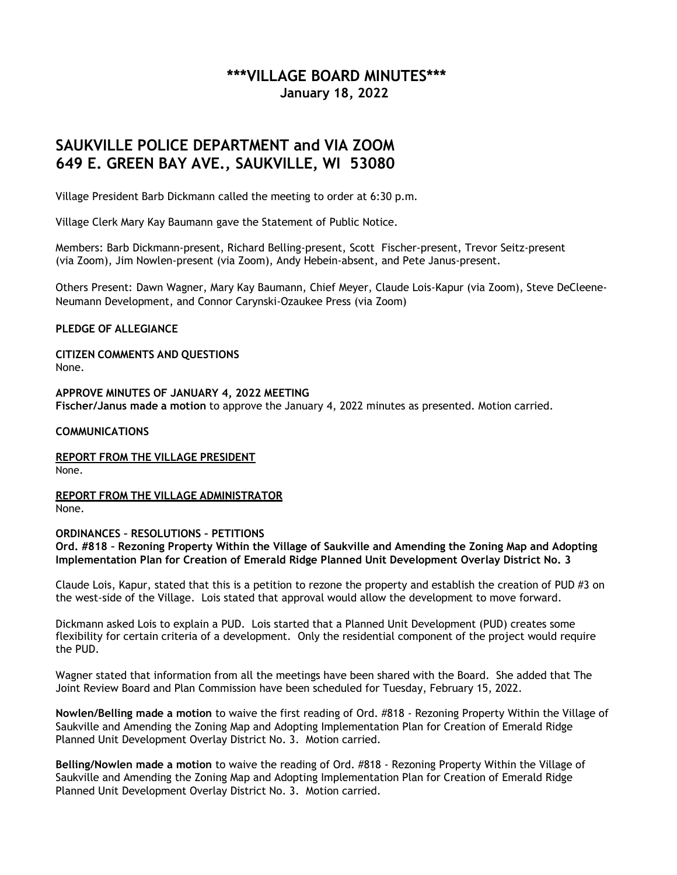## **\*\*\*VILLAGE BOARD MINUTES\*\*\* January 18, 2022**

## **SAUKVILLE POLICE DEPARTMENT and VIA ZOOM 649 E. GREEN BAY AVE., SAUKVILLE, WI 53080**

Village President Barb Dickmann called the meeting to order at 6:30 p.m.

Village Clerk Mary Kay Baumann gave the Statement of Public Notice.

Members: Barb Dickmann-present, Richard Belling-present, Scott Fischer-present, Trevor Seitz-present (via Zoom), Jim Nowlen-present (via Zoom), Andy Hebein-absent, and Pete Janus-present.

Others Present: Dawn Wagner, Mary Kay Baumann, Chief Meyer, Claude Lois-Kapur (via Zoom), Steve DeCleene-Neumann Development, and Connor Carynski-Ozaukee Press (via Zoom)

## **PLEDGE OF ALLEGIANCE**

**CITIZEN COMMENTS AND QUESTIONS** None.

**APPROVE MINUTES OF JANUARY 4, 2022 MEETING Fischer/Janus made a motion** to approve the January 4, 2022 minutes as presented. Motion carried.

## **COMMUNICATIONS**

**REPORT FROM THE VILLAGE PRESIDENT**

None.

**REPORT FROM THE VILLAGE ADMINISTRATOR** None.

**ORDINANCES – RESOLUTIONS – PETITIONS Ord. #818 – Rezoning Property Within the Village of Saukville and Amending the Zoning Map and Adopting Implementation Plan for Creation of Emerald Ridge Planned Unit Development Overlay District No. 3**

Claude Lois, Kapur, stated that this is a petition to rezone the property and establish the creation of PUD #3 on the west-side of the Village. Lois stated that approval would allow the development to move forward.

Dickmann asked Lois to explain a PUD. Lois started that a Planned Unit Development (PUD) creates some flexibility for certain criteria of a development. Only the residential component of the project would require the PUD.

Wagner stated that information from all the meetings have been shared with the Board. She added that The Joint Review Board and Plan Commission have been scheduled for Tuesday, February 15, 2022.

**Nowlen/Belling made a motion** to waive the first reading of Ord. #818 - Rezoning Property Within the Village of Saukville and Amending the Zoning Map and Adopting Implementation Plan for Creation of Emerald Ridge Planned Unit Development Overlay District No. 3. Motion carried.

**Belling/Nowlen made a motion** to waive the reading of Ord. #818 - Rezoning Property Within the Village of Saukville and Amending the Zoning Map and Adopting Implementation Plan for Creation of Emerald Ridge Planned Unit Development Overlay District No. 3. Motion carried.